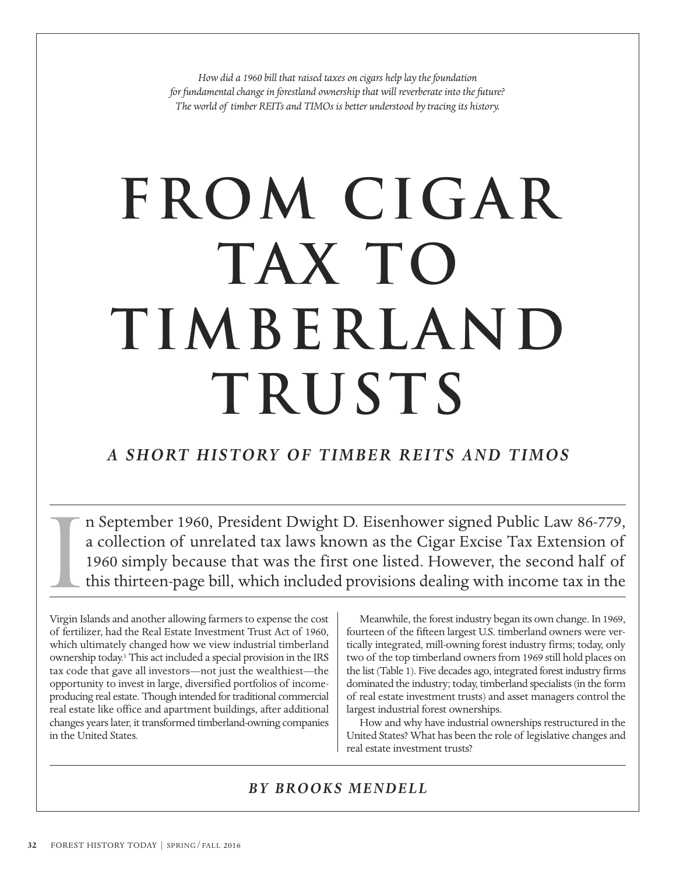*How did a 1960 bill that raised taxes on cigars help lay the foundation for fundamental change in forestland ownership that will reverberate into the future? The world of timber REITs and TIMOs is better understood by tracing its history.*

# **From Cigar Tax to TIMBERLAND Trusts**

# *A SHORT HISTORY OF TIMBER REITS AND TIMOS*

n September 1960, President Dwight D. Eisenhower signed Public Law 86-779, a collection of unrelated tax laws known as the Cigar Excise Tax Extension of 1960 simply because that was the first one listed. However, the second half of this thirteen-page bill, which included provisions dealing with income tax in the I

Virgin Islands and another allowing farmers to expense the cost of fertilizer, had the Real Estate Investment Trust Act of 1960, which ultimately changed how we view industrial timberland ownership today.1 This act included a special provision in the IRS tax code that gave all investors—not just the wealthiest—the opportunity to invest in large, diversified portfolios of incomeproducing real estate. Though intended for traditional commercial real estate like office and apartment buildings, after additional changes years later, it transformed timberland-owning companies in the United States.

Meanwhile, the forest industry began its own change. In 1969, fourteen of the fifteen largest U.S. timberland owners were vertically integrated, mill-owning forest industry firms; today, only two of the top timberland owners from 1969 still hold places on the list (Table 1). Five decades ago, integrated forest industry firms dominated the industry; today, timberland specialists (in the form of real estate investment trusts) and asset managers control the largest industrial forest ownerships.

How and why have industrial ownerships restructured in the United States? What has been the role of legislative changes and real estate investment trusts?

## *BY BROOKS MENDELL*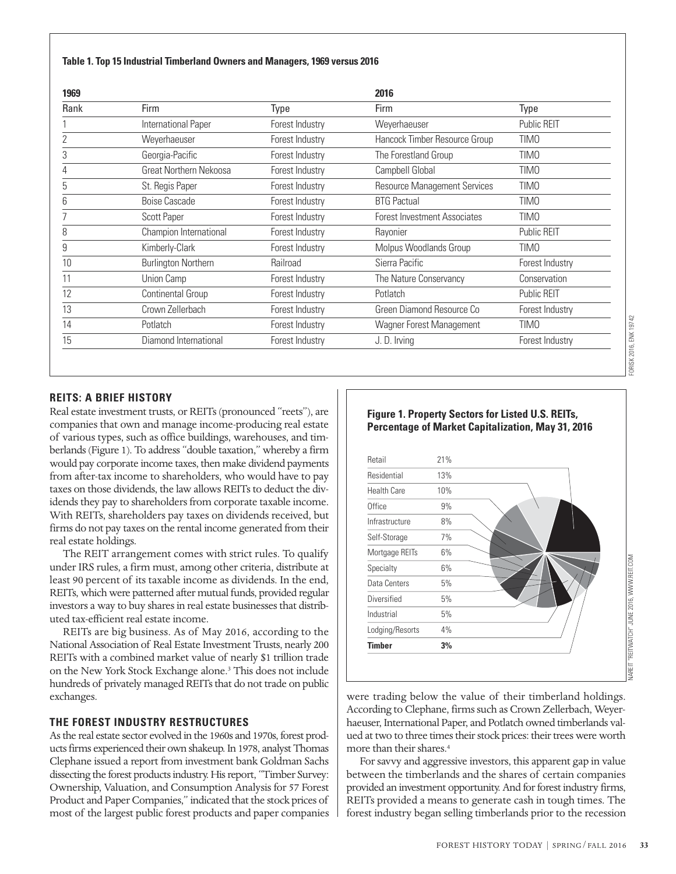#### **Table 1. Top 15 Industrial Timberland Owners and Managers, 1969 versus 2016**

| 1969 |                            |                 | 2016                                |                    |
|------|----------------------------|-----------------|-------------------------------------|--------------------|
| Rank | <b>Firm</b>                | Type            | Firm                                | Type               |
|      | International Paper        | Forest Industry | Weyerhaeuser                        | <b>Public REIT</b> |
|      | Weyerhaeuser               | Forest Industry | Hancock Timber Resource Group       | <b>TIMO</b>        |
| 3    | Georgia-Pacific            | Forest Industry | The Forestland Group                | <b>TIMO</b>        |
|      | Great Northern Nekoosa     | Forest Industry | Campbell Global                     | <b>TIMO</b>        |
| b    | St. Regis Paper            | Forest Industry | <b>Resource Management Services</b> | <b>TIMO</b>        |
| h    | <b>Boise Cascade</b>       | Forest Industry | <b>BTG Pactual</b>                  | TIMO               |
|      | <b>Scott Paper</b>         | Forest Industry | <b>Forest Investment Associates</b> | TIM <sub>0</sub>   |
| 8    | Champion International     | Forest Industry | Rayonier                            | <b>Public REIT</b> |
| 9    | Kimberly-Clark             | Forest Industry | Molpus Woodlands Group              | TIMO               |
| 10   | <b>Burlington Northern</b> | Railroad        | Sierra Pacific                      | Forest Industry    |
| 11   | Union Camp                 | Forest Industry | The Nature Conservancy              | Conservation       |
| 12   | Continental Group          | Forest Industry | Potlatch                            | <b>Public REIT</b> |
| 13   | Crown Zellerbach           | Forest Industry | Green Diamond Resource Co           | Forest Industry    |
| 14   | Potlatch                   | Forest Industry | Wagner Forest Management            | <b>TIMO</b>        |
| 15   | Diamond International      | Forest Industry | J. D. Irving                        | Forest Industry    |

FORISK 2016, ENK 19742

FORISK 2016, ENK 19742

#### **REITS: A BRIEF HISTORY**

Real estate investment trusts, or REITs (pronounced "reets"), are companies that own and manage income-producing real estate of various types, such as office buildings, warehouses, and timberlands (Figure 1). To address "double taxation," whereby a firm would pay corporate income taxes, then make dividend payments from after-tax income to shareholders, who would have to pay taxes on those dividends, the law allows REITs to deduct the dividends they pay to shareholders from corporate taxable income. With REITs, shareholders pay taxes on dividends received, but firms do not pay taxes on the rental income generated from their real estate holdings.

The REIT arrangement comes with strict rules. To qualify under IRS rules, a firm must, among other criteria, distribute at least 90 percent of its taxable income as dividends. In the end, REITs, which were patterned after mutual funds, provided regular investors a way to buy shares in real estate businesses that distributed tax-efficient real estate income.

REITs are big business. As of May 2016, according to the National Association of Real Estate Investment Trusts, nearly 200 REITs with a combined market value of nearly \$1 trillion trade on the New York Stock Exchange alone.3 This does not include hundreds of privately managed REITs that do not trade on public exchanges.

#### **THE FOREST INDUSTRY RESTRUCTURES**

As the real estate sector evolved in the 1960s and 1970s, forest products firms experienced their own shakeup. In 1978, analyst Thomas Clephane issued a report from investment bank Goldman Sachs dissecting the forest products industry. His report, "Timber Survey: Ownership, Valuation, and Consumption Analysis for 57 Forest Product and Paper Companies," indicated that the stock prices of most of the largest public forest products and paper companies

#### **Figure 1. Property Sectors for Listed U.S. REITs, Percentage of Market Capitalization, May 31, 2016**



were trading below the value of their timberland holdings. According to Clephane, firms such as Crown Zellerbach, Weyerhaeuser, International Paper, and Potlatch owned timberlands valued at two to three times their stock prices: their trees were worth more than their shares.4

For savvy and aggressive investors, this apparent gap in value between the timberlands and the shares of certain companies provided an investment opportunity. And for forest industry firms, REITs provided a means to generate cash in tough times. The forest industry began selling timberlands prior to the recession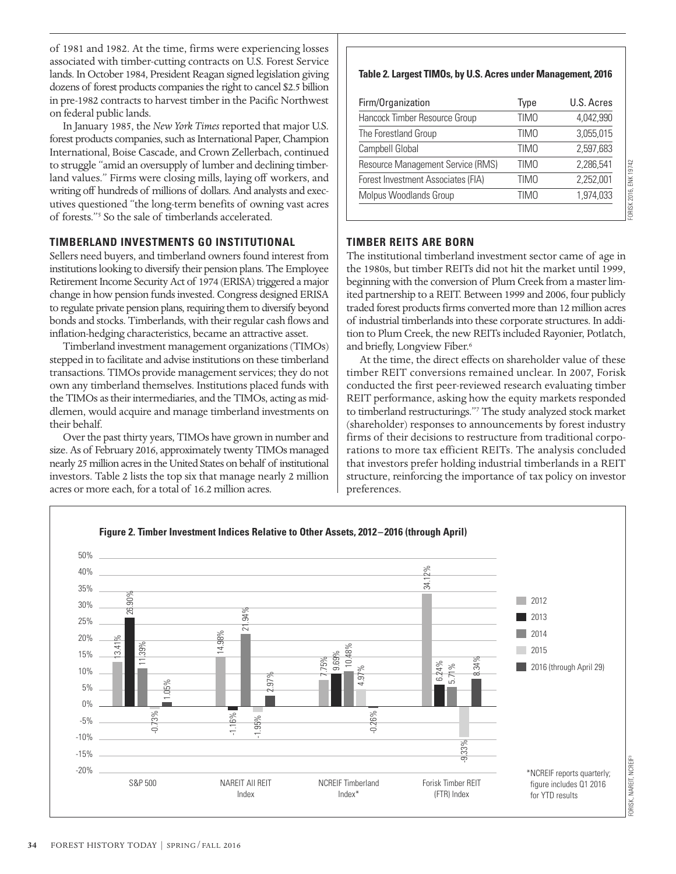of 1981 and 1982. At the time, firms were experiencing losses associated with timber-cutting contracts on U.S. Forest Service lands. In October 1984, President Reagan signed legislation giving dozens of forest products companies the right to cancel \$2.5 billion in pre-1982 contracts to harvest timber in the Pacific Northwest on federal public lands.

In January 1985, the *New York Times* reported that major U.S. forest products companies, such as International Paper, Champion International, Boise Cascade, and Crown Zellerbach, continued to struggle "amid an oversupply of lumber and declining timberland values." Firms were closing mills, laying off workers, and writing off hundreds of millions of dollars. And analysts and executives questioned "the long-term benefits of owning vast acres of forests."5 So the sale of timberlands accelerated.

### **TIMBERLAND INVESTMENTS GO INSTITUTIONAL**

Sellers need buyers, and timberland owners found interest from institutions looking to diversify their pension plans. The Employee Retirement Income Security Act of 1974 (ERISA) triggered a major change in how pension funds invested. Congress designed ERISA to regulate private pension plans, requiring them to diversify beyond bonds and stocks. Timberlands, with their regular cash flows and inflation-hedging characteristics, became an attractive asset.

Timberland investment management organizations (TIMOs) stepped in to facilitate and advise institutions on these timberland transactions. TIMOs provide management services; they do not own any timberland themselves. Institutions placed funds with the TIMOs as their intermediaries, and the TIMOs, acting as middlemen, would acquire and manage timberland investments on their behalf.

Over the past thirty years, TIMOs have grown in number and size. As of February 2016, approximately twenty TIMOs managed nearly 25 million acres in the United States on behalf of institutional investors. Table 2 lists the top six that manage nearly 2 million acres or more each, for a total of 16.2 million acres.

### **Table 2. Largest TIMOs, by U.S. Acres under Management, 2016**

| 4.042.990<br>3,055,015 |
|------------------------|
|                        |
|                        |
| 2,597,683              |
| 2,286,541              |
| 2,252,001              |
| 1,974,033              |
|                        |

### **TIMBER REITS ARE BORN**

The institutional timberland investment sector came of age in the 1980s, but timber REITs did not hit the market until 1999, beginning with the conversion of Plum Creek from a master limited partnership to a REIT. Between 1999 and 2006, four publicly traded forest products firms converted more than 12 million acres of industrial timberlands into these corporate structures. In addition to Plum Creek, the new REITs included Rayonier, Potlatch, and briefly, Longview Fiber.<sup>6</sup>

At the time, the direct effects on shareholder value of these timber REIT conversions remained unclear. In 2007, Forisk conducted the first peer-reviewed research evaluating timber REIT performance, asking how the equity markets responded to timberland restructurings."7 The study analyzed stock market (shareholder) responses to announcements by forest industry firms of their decisions to restructure from traditional corporations to more tax efficient REITs. The analysis concluded that investors prefer holding industrial timberlands in a REIT structure, reinforcing the importance of tax policy on investor preferences.

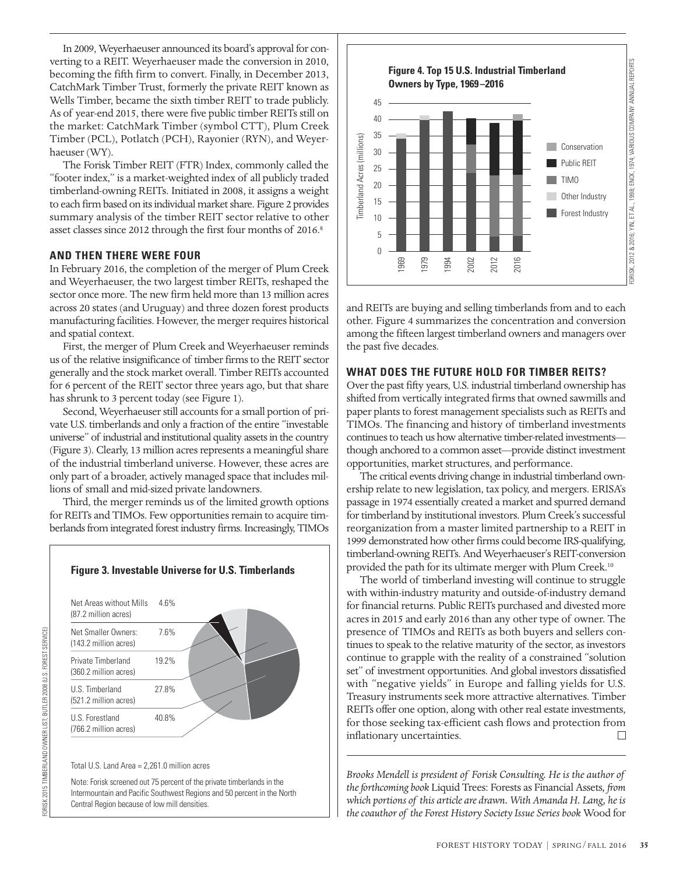In 2009, Weyerhaeuser announced its board's approval for converting to a REIT. Weyerhaeuser made the conversion in 2010, becoming the fifth firm to convert. Finally, in December 2013, CatchMark Timber Trust, formerly the private REIT known as Wells Timber, became the sixth timber REIT to trade publicly. As of year-end 2015, there were five public timber REITs still on the market: CatchMark Timber (symbol CTT), Plum Creek Timber (PCL), Potlatch (PCH), Rayonier (RYN), and Weyer haeuser (WY).

The Forisk Timber REIT (FTR) Index, commonly called the "footer index," is a market-weighted index of all publicly traded timberland-owning REITs. Initiated in 2008, it assigns a weight to each firm based on its individual market share. Figure 2 provides summary analysis of the timber REIT sector relative to other asset classes since 2012 through the first four months of 2016.<sup>8</sup>

#### **AND THEN THERE WERE FOUR**

In February 2016, the completion of the merger of Plum Creek and Weyerhaeuser, the two largest timber REITs, reshaped the sector once more. The new firm held more than 13 million acres across 20 states (and Uruguay) and three dozen forest products manufacturing facilities. However, the merger requires historical and spatial context.

First, the merger of Plum Creek and Weyerhaeuser reminds us of the relative insignificance of timber firms to the REIT sector generally and the stock market overall. Timber REITs accounted for 6 percent of the REIT sector three years ago, but that share has shrunk to 3 percent today (see Figure 1).

Second, Weyerhaeuser still accounts for a small portion of private U.S. timberlands and only a fraction of the entire "investable universe" of industrial and institutional quality assets in the country (Figure 3). Clearly, 13 million acres represents a meaningful share of the industrial timberland universe. However, these acres are only part of a broader, actively managed space that includes millions of small and mid-sized private landowners.

Third, the merger reminds us of the limited growth options for REITs and TIMOs. Few opportunities remain to acquire timberlands from integrated forest industry firms. Increasingly, TIMOs



Note: Forisk screened out 75 percent of the private timberlands in the Intermountain and Pacific Southwest Regions and 50 percent in the North Central Region because of low mill densities.



and REITs are buying and selling timberlands from and to each other. Figure 4 summarizes the concentration and conversion among the fifteen largest timberland owners and managers over the past five decades.

#### **WHAT DOES THE FUTURE HOLD FOR TIMBER REITS?**

Over the past fifty years, U.S. industrial timberland ownership has shifted from vertically integrated firms that owned sawmills and paper plants to forest management specialists such as REITs and TIMOs. The financing and history of timberland investments continues to teach us how alternative timber-related investments though anchored to a common asset—provide distinct investment opportunities, market structures, and performance.

The critical events driving change in industrial timberland ownership relate to new legislation, tax policy, and mergers. ERISA's passage in 1974 essentially created a market and spurred demand for timberland by institutional investors. Plum Creek's successful reorganization from a master limited partnership to a REIT in 1999 demonstrated how other firms could become IRS-qualifying, timberland-owning REITs. And Weyerhaeuser's REIT-conversion provided the path for its ultimate merger with Plum Creek.<sup>10</sup>

The world of timberland investing will continue to struggle with within-industry maturity and outside-of-industry demand for financial returns. Public REITs purchased and divested more acres in 2015 and early 2016 than any other type of owner. The presence of TIMOs and REITs as both buyers and sellers continues to speak to the relative maturity of the sector, as investors continue to grapple with the reality of a constrained "solution set" of investment opportunities. And global investors dissatisfied with "negative yields" in Europe and falling yields for U.S. Treasury instruments seek more attractive alternatives. Timber REITs offer one option, along with other real estate investments, for those seeking tax-efficient cash flows and protection from inflationary uncertainties.  $\Box$ 

*Brooks Mendell is president of Forisk Consulting. He is the author of the forthcoming book* Liquid Trees: Forests as Financial Assets*, from which portions of this article are drawn. With Amanda H. Lang, he is the coauthor of the Forest History Society Issue Series book* Wood for